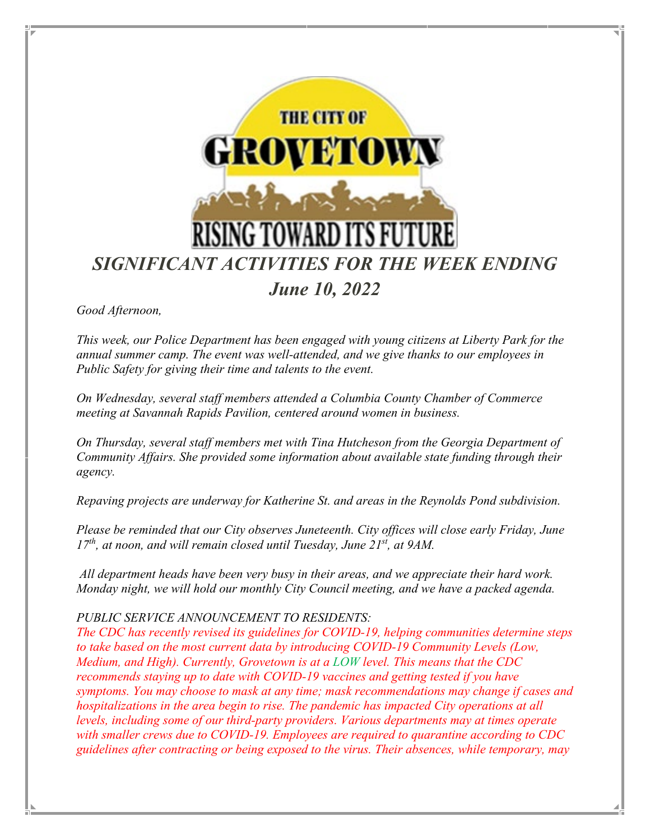

*Good Afternoon,* 

*This week, our Police Department has been engaged with young citizens at Liberty Park for the annual summer camp. The event was well-attended, and we give thanks to our employees in Public Safety for giving their time and talents to the event.*

*On Wednesday, several staff members attended a Columbia County Chamber of Commerce meeting at Savannah Rapids Pavilion, centered around women in business.* 

*On Thursday, several staff members met with Tina Hutcheson from the Georgia Department of Community Affairs. She provided some information about available state funding through their agency.* 

*Repaving projects are underway for Katherine St. and areas in the Reynolds Pond subdivision.* 

*Please be reminded that our City observes Juneteenth. City offices will close early Friday, June 17th, at noon, and will remain closed until Tuesday, June 21st, at 9AM.* 

*All department heads have been very busy in their areas, and we appreciate their hard work. Monday night, we will hold our monthly City Council meeting, and we have a packed agenda.* 

#### *PUBLIC SERVICE ANNOUNCEMENT TO RESIDENTS:*

*The CDC has recently revised its guidelines for COVID-19, helping communities determine steps to take based on the most current data by introducing COVID-19 Community Levels (Low, Medium, and High). Currently, Grovetown is at a LOW level. This means that the CDC recommends staying up to date with COVID-19 vaccines and getting tested if you have symptoms. You may choose to mask at any time; mask recommendations may change if cases and hospitalizations in the area begin to rise. The pandemic has impacted City operations at all levels, including some of our third-party providers. Various departments may at times operate with smaller crews due to COVID-19. Employees are required to quarantine according to CDC guidelines after contracting or being exposed to the virus. Their absences, while temporary, may*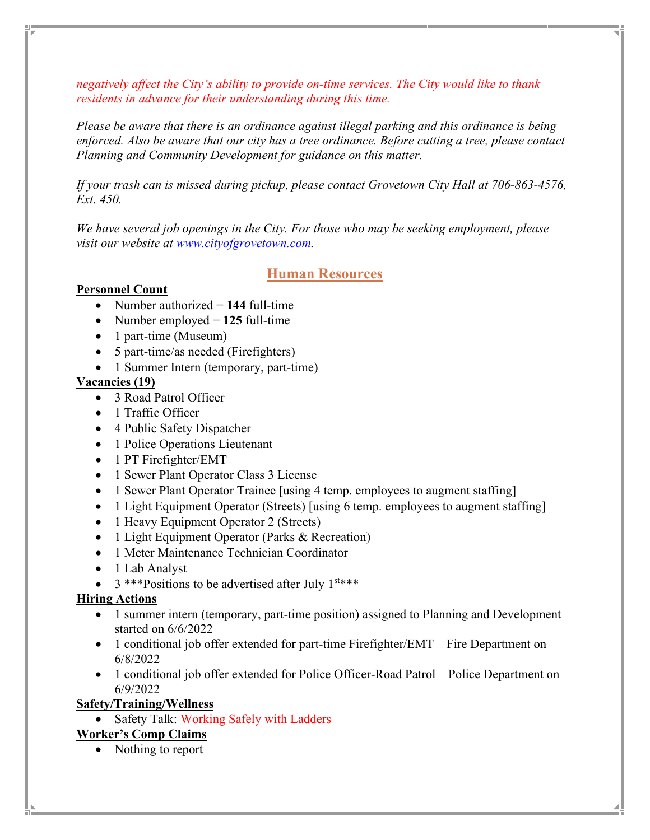*negatively affect the City's ability to provide on-time services. The City would like to thank residents in advance for their understanding during this time.*

*Please be aware that there is an ordinance against illegal parking and this ordinance is being enforced. Also be aware that our city has a tree ordinance. Before cutting a tree, please contact Planning and Community Development for guidance on this matter.*

*If your trash can is missed during pickup, please contact Grovetown City Hall at 706-863-4576, Ext. 450.* 

*We have several job openings in the City. For those who may be seeking employment, please visit our website at [www.cityofgrovetown.com.](http://www.cityofgrovetown.com/)* 

# **Human Resources**

#### **Personnel Count**

- Number authorized = 144 full-time
- Number employed = **125** full-time
- 1 part-time (Museum)
- 5 part-time/as needed (Firefighters)
- 1 Summer Intern (temporary, part-time)

### **Vacancies (19)**

- 3 Road Patrol Officer
- 1 Traffic Officer
- 4 Public Safety Dispatcher
- 1 Police Operations Lieutenant
- 1 PT Firefighter/EMT
- 1 Sewer Plant Operator Class 3 License
- 1 Sewer Plant Operator Trainee [using 4 temp. employees to augment staffing]
- 1 Light Equipment Operator (Streets) [using 6 temp. employees to augment staffing]
- 1 Heavy Equipment Operator 2 (Streets)
- 1 Light Equipment Operator (Parks & Recreation)
- 1 Meter Maintenance Technician Coordinator
- 1 Lab Analyst
- $3$  \*\*\*Positions to be advertised after July  $1^{st***}$

#### **Hiring Actions**

- 1 summer intern (temporary, part-time position) assigned to Planning and Development started on 6/6/2022
- 1 conditional job offer extended for part-time Firefighter/EMT Fire Department on 6/8/2022
- 1 conditional job offer extended for Police Officer-Road Patrol Police Department on 6/9/2022

### **Safety/Training/Wellness**

• Safety Talk: Working Safely with Ladders

### **Worker's Comp Claims**

• Nothing to report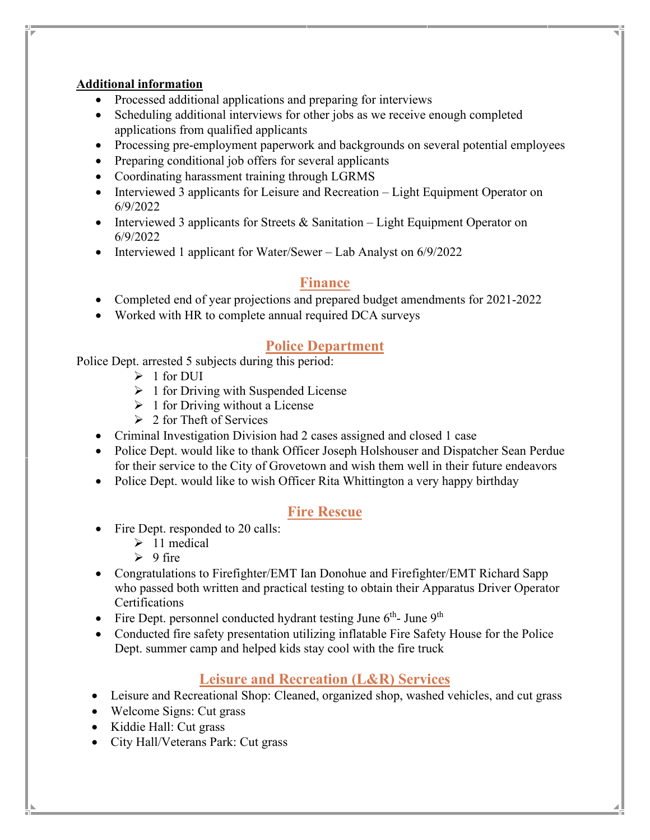### **Additional information**

- Processed additional applications and preparing for interviews
- Scheduling additional interviews for other jobs as we receive enough completed applications from qualified applicants
- Processing pre-employment paperwork and backgrounds on several potential employees
- Preparing conditional job offers for several applicants
- Coordinating harassment training through LGRMS
- Interviewed 3 applicants for Leisure and Recreation Light Equipment Operator on 6/9/2022
- Interviewed 3 applicants for Streets & Sanitation Light Equipment Operator on 6/9/2022
- Interviewed 1 applicant for Water/Sewer Lab Analyst on 6/9/2022

# **Finance**

- Completed end of year projections and prepared budget amendments for 2021-2022
- Worked with HR to complete annual required DCA surveys

# **Police Department**

Police Dept. arrested 5 subjects during this period:

- $\geq 1$  for DUI
- $\geq 1$  for Driving with Suspended License
- $\geq 1$  for Driving without a License
- $\geq 2$  for Theft of Services
- Criminal Investigation Division had 2 cases assigned and closed 1 case
- Police Dept. would like to thank Officer Joseph Holshouser and Dispatcher Sean Perdue for their service to the City of Grovetown and wish them well in their future endeavors
- Police Dept. would like to wish Officer Rita Whittington a very happy birthday

# **Fire Rescue**

- Fire Dept. responded to 20 calls:
	- $\geq 11$  medical
	- $\geq 9$  fire
- Congratulations to Firefighter/EMT Ian Donohue and Firefighter/EMT Richard Sapp who passed both written and practical testing to obtain their Apparatus Driver Operator Certifications
- Fire Dept. personnel conducted hydrant testing June  $6<sup>th</sup>$  June  $9<sup>th</sup>$
- Conducted fire safety presentation utilizing inflatable Fire Safety House for the Police Dept. summer camp and helped kids stay cool with the fire truck

# **Leisure and Recreation (L&R) Services**

- Leisure and Recreational Shop: Cleaned, organized shop, washed vehicles, and cut grass
- Welcome Signs: Cut grass
- Kiddie Hall: Cut grass
- City Hall/Veterans Park: Cut grass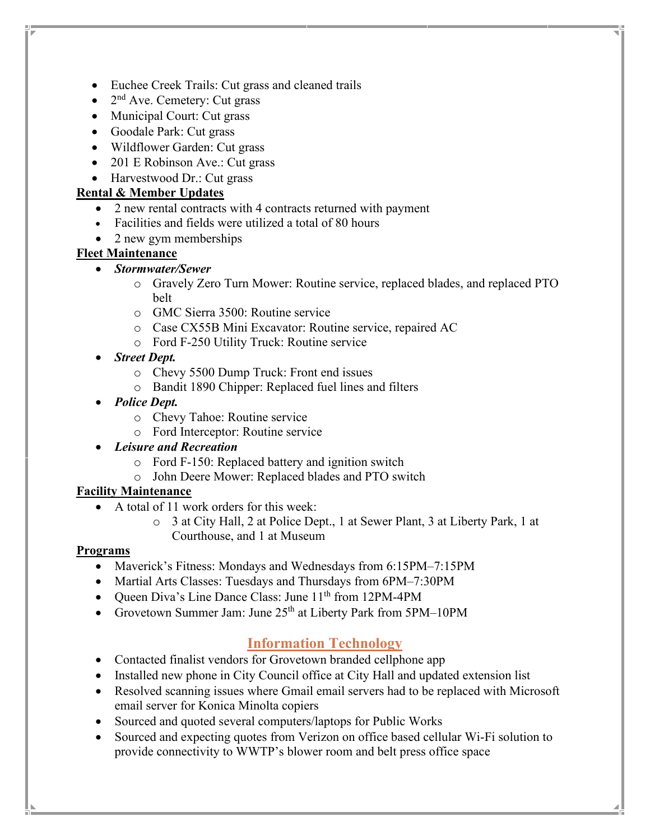- Euchee Creek Trails: Cut grass and cleaned trails
- $2<sup>nd</sup>$  Ave. Cemetery: Cut grass
- Municipal Court: Cut grass
- Goodale Park: Cut grass
- Wildflower Garden: Cut grass
- 201 E Robinson Ave.: Cut grass
- Harvestwood Dr.: Cut grass

### **Rental & Member Updates**

- 2 new rental contracts with 4 contracts returned with payment
- Facilities and fields were utilized a total of 80 hours
- 2 new gym memberships

### **Fleet Maintenance**

- *Stormwater/Sewer*
	- o Gravely Zero Turn Mower: Routine service, replaced blades, and replaced PTO belt
	- o GMC Sierra 3500: Routine service
	- o Case CX55B Mini Excavator: Routine service, repaired AC
	- o Ford F-250 Utility Truck: Routine service
- *Street Dept.*
	- o Chevy 5500 Dump Truck: Front end issues
	- o Bandit 1890 Chipper: Replaced fuel lines and filters
- *Police Dept.*
	- o Chevy Tahoe: Routine service
	- o Ford Interceptor: Routine service
- *Leisure and Recreation*
	- o Ford F-150: Replaced battery and ignition switch
	- o John Deere Mower: Replaced blades and PTO switch

### **Facility Maintenance**

- A total of 11 work orders for this week:
	- o 3 at City Hall, 2 at Police Dept., 1 at Sewer Plant, 3 at Liberty Park, 1 at Courthouse, and 1 at Museum

### **Programs**

- Maverick's Fitness: Mondays and Wednesdays from 6:15PM–7:15PM
- Martial Arts Classes: Tuesdays and Thursdays from 6PM–7:30PM
- Queen Diva's Line Dance Class: June 11<sup>th</sup> from 12PM-4PM
- Grovetown Summer Jam: June 25<sup>th</sup> at Liberty Park from 5PM–10PM

# **Information Technology**

- Contacted finalist vendors for Grovetown branded cellphone app
- Installed new phone in City Council office at City Hall and updated extension list
- Resolved scanning issues where Gmail email servers had to be replaced with Microsoft email server for Konica Minolta copiers
- Sourced and quoted several computers/laptops for Public Works
- Sourced and expecting quotes from Verizon on office based cellular Wi-Fi solution to provide connectivity to WWTP's blower room and belt press office space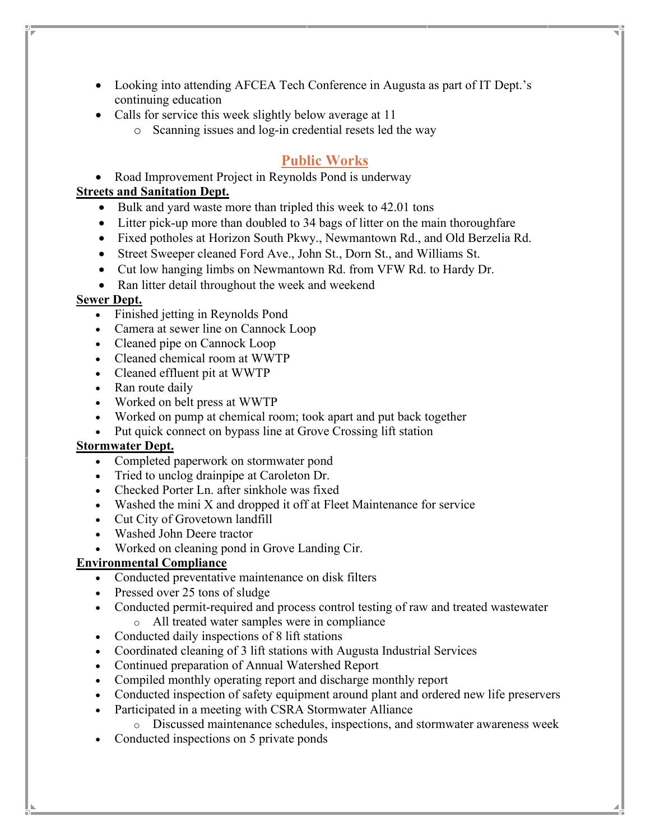- Looking into attending AFCEA Tech Conference in Augusta as part of IT Dept.'s continuing education
- Calls for service this week slightly below average at 11
	- o Scanning issues and log-in credential resets led the way

### **Public Works**

• Road Improvement Project in Reynolds Pond is underway

#### **Streets and Sanitation Dept.**

- Bulk and yard waste more than tripled this week to 42.01 tons
- Litter pick-up more than doubled to 34 bags of litter on the main thoroughfare
- Fixed potholes at Horizon South Pkwy., Newmantown Rd., and Old Berzelia Rd.
- Street Sweeper cleaned Ford Ave., John St., Dorn St., and Williams St.
- Cut low hanging limbs on Newmantown Rd. from VFW Rd. to Hardy Dr.
- Ran litter detail throughout the week and weekend

#### **Sewer Dept.**

- Finished jetting in Reynolds Pond
- Camera at sewer line on Cannock Loop
- Cleaned pipe on Cannock Loop
- Cleaned chemical room at WWTP
- Cleaned effluent pit at WWTP
- Ran route daily
- Worked on belt press at WWTP
- Worked on pump at chemical room; took apart and put back together
- Put quick connect on bypass line at Grove Crossing lift station

#### **Stormwater Dept.**

- Completed paperwork on stormwater pond
- Tried to unclog drainpipe at Caroleton Dr.
- Checked Porter Ln. after sinkhole was fixed
- Washed the mini X and dropped it off at Fleet Maintenance for service
- Cut City of Grovetown landfill
- Washed John Deere tractor
- Worked on cleaning pond in Grove Landing Cir.

#### **Environmental Compliance**

- Conducted preventative maintenance on disk filters
- Pressed over 25 tons of sludge
- Conducted permit-required and process control testing of raw and treated wastewater
	- o All treated water samples were in compliance
- Conducted daily inspections of 8 lift stations
- Coordinated cleaning of 3 lift stations with Augusta Industrial Services
- Continued preparation of Annual Watershed Report
- Compiled monthly operating report and discharge monthly report
- Conducted inspection of safety equipment around plant and ordered new life preservers
- Participated in a meeting with CSRA Stormwater Alliance
	- o Discussed maintenance schedules, inspections, and stormwater awareness week
- Conducted inspections on 5 private ponds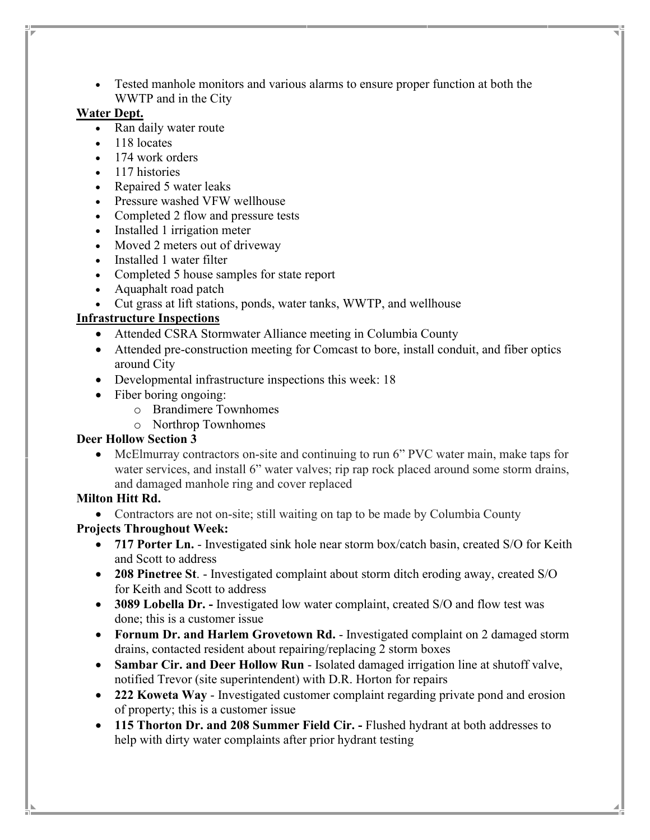• Tested manhole monitors and various alarms to ensure proper function at both the WWTP and in the City

### **Water Dept.**

- Ran daily water route
- 118 locates
- 174 work orders
- 117 histories
- Repaired 5 water leaks
- Pressure washed VFW wellhouse
- Completed 2 flow and pressure tests
- Installed 1 irrigation meter
- Moved 2 meters out of driveway
- Installed 1 water filter
- Completed 5 house samples for state report
- Aquaphalt road patch
- Cut grass at lift stations, ponds, water tanks, WWTP, and wellhouse

### **Infrastructure Inspections**

- Attended CSRA Stormwater Alliance meeting in Columbia County
- Attended pre-construction meeting for Comcast to bore, install conduit, and fiber optics around City
- Developmental infrastructure inspections this week: 18
- Fiber boring ongoing:
	- o Brandimere Townhomes
	- o Northrop Townhomes

### **Deer Hollow Section 3**

• McElmurray contractors on-site and continuing to run 6" PVC water main, make taps for water services, and install 6" water valves; rip rap rock placed around some storm drains, and damaged manhole ring and cover replaced

### **Milton Hitt Rd.**

• Contractors are not on-site; still waiting on tap to be made by Columbia County

### **Projects Throughout Week:**

- **717 Porter Ln.** Investigated sink hole near storm box/catch basin, created S/O for Keith and Scott to address
- **208 Pinetree St**. Investigated complaint about storm ditch eroding away, created S/O for Keith and Scott to address
- **3089 Lobella Dr.** Investigated low water complaint, created S/O and flow test was done; this is a customer issue
- **Fornum Dr. and Harlem Grovetown Rd.** Investigated complaint on 2 damaged storm drains, contacted resident about repairing/replacing 2 storm boxes
- **Sambar Cir. and Deer Hollow Run** Isolated damaged irrigation line at shutoff valve, notified Trevor (site superintendent) with D.R. Horton for repairs
- **222 Koweta Way**  Investigated customer complaint regarding private pond and erosion of property; this is a customer issue
- **115 Thorton Dr. and 208 Summer Field Cir. -** Flushed hydrant at both addresses to help with dirty water complaints after prior hydrant testing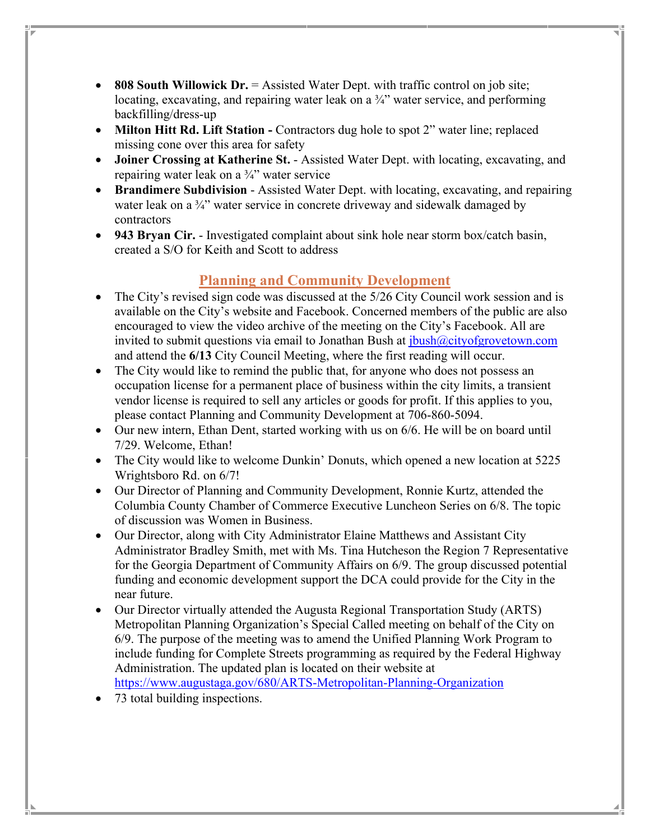- **808 South Willowick Dr.** = Assisted Water Dept. with traffic control on job site; locating, excavating, and repairing water leak on a ¾" water service, and performing backfilling/dress-up
- **Milton Hitt Rd. Lift Station -** Contractors dug hole to spot 2" water line; replaced missing cone over this area for safety
- **Joiner Crossing at Katherine St.**  Assisted Water Dept. with locating, excavating, and repairing water leak on a ¾" water service
- **Brandimere Subdivision** Assisted Water Dept. with locating, excavating, and repairing water leak on a 3<sup>2</sup><sup>"</sup> water service in concrete driveway and sidewalk damaged by contractors
- **943 Bryan Cir.**  Investigated complaint about sink hole near storm box/catch basin, created a S/O for Keith and Scott to address

# **Planning and Community Development**

- The City's revised sign code was discussed at the 5/26 City Council work session and is available on the City's website and Facebook. Concerned members of the public are also encouraged to view the video archive of the meeting on the City's Facebook. All are invited to submit questions via email to Jonathan Bush at *ibush@cityofgrovetown.com* and attend the **6/13** City Council Meeting, where the first reading will occur.
- The City would like to remind the public that, for anyone who does not possess an occupation license for a permanent place of business within the city limits, a transient vendor license is required to sell any articles or goods for profit. If this applies to you, please contact Planning and Community Development at 706-860-5094.
- Our new intern, Ethan Dent, started working with us on 6/6. He will be on board until 7/29. Welcome, Ethan!
- The City would like to welcome Dunkin' Donuts, which opened a new location at 5225 Wrightsboro Rd. on 6/7!
- Our Director of Planning and Community Development, Ronnie Kurtz, attended the Columbia County Chamber of Commerce Executive Luncheon Series on 6/8. The topic of discussion was Women in Business.
- Our Director, along with City Administrator Elaine Matthews and Assistant City Administrator Bradley Smith, met with Ms. Tina Hutcheson the Region 7 Representative for the Georgia Department of Community Affairs on 6/9. The group discussed potential funding and economic development support the DCA could provide for the City in the near future.
- Our Director virtually attended the Augusta Regional Transportation Study (ARTS) Metropolitan Planning Organization's Special Called meeting on behalf of the City on 6/9. The purpose of the meeting was to amend the Unified Planning Work Program to include funding for Complete Streets programming as required by the Federal Highway Administration. The updated plan is located on their website at <https://www.augustaga.gov/680/ARTS-Metropolitan-Planning-Organization>
- 73 total building inspections.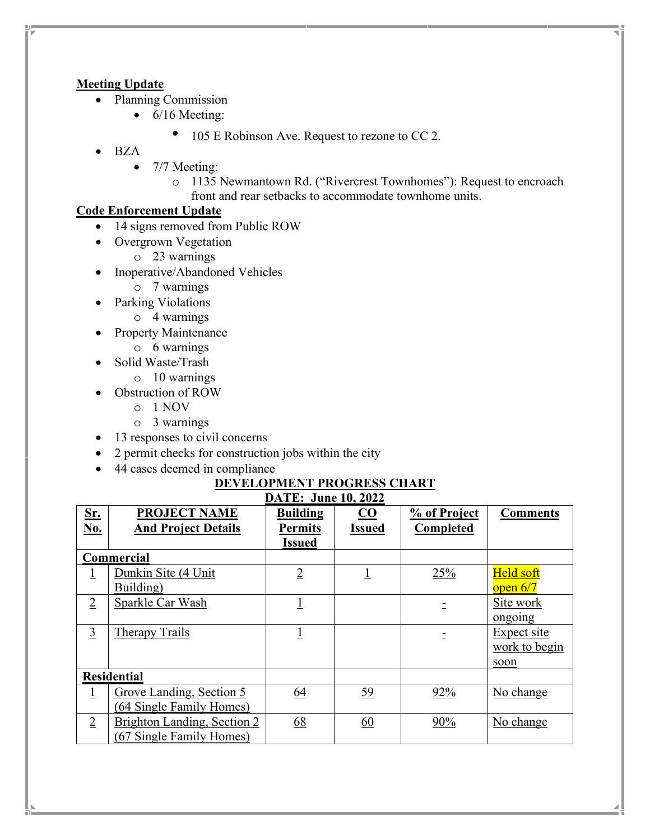### **Meeting Update**

- Planning Commission
	- 6/16 Meeting:
		- 105 E Robinson Ave. Request to rezone to CC 2.
- BZA
	- 7/7 Meeting:
		- o 1135 Newmantown Rd. ("Rivercrest Townhomes"): Request to encroach front and rear setbacks to accommodate townhome units.

### **Code Enforcement Update**

- 14 signs removed from Public ROW
- Overgrown Vegetation
	- o 23 warnings
- Inoperative/Abandoned Vehicles
	- o 7 warnings
- Parking Violations
	- o 4 warnings
- Property Maintenance
	- o 6 warnings
- Solid Waste/Trash
	- o 10 warnings
- Obstruction of ROW
	- o 1 NOV
	- o 3 warnings
- 13 responses to civil concerns
- 2 permit checks for construction jobs within the city
- 44 cases deemed in compliance

# **DEVELOPMENT PROGRESS CHART**

| <b>DATE: June 10, 2022</b> |                             |                 |                           |              |                 |  |  |  |  |
|----------------------------|-----------------------------|-----------------|---------------------------|--------------|-----------------|--|--|--|--|
| Sr.                        | <b>PROJECT NAME</b>         | <b>Building</b> | $\underline{\mathbf{CO}}$ | % of Project | <b>Comments</b> |  |  |  |  |
| <b>No.</b>                 | <b>And Project Details</b>  | <b>Permits</b>  | <b>Issued</b>             | Completed    |                 |  |  |  |  |
|                            |                             | <b>Issued</b>   |                           |              |                 |  |  |  |  |
|                            | Commercial                  |                 |                           |              |                 |  |  |  |  |
| $\perp$                    | Dunkin Site (4 Unit)        | $\overline{2}$  | $\overline{1}$            | 25%          | Held soft       |  |  |  |  |
|                            | Building)                   |                 |                           |              | open $6/7$      |  |  |  |  |
| $\overline{2}$             | Sparkle Car Wash            |                 |                           |              | Site work       |  |  |  |  |
|                            |                             |                 |                           |              | ongoing         |  |  |  |  |
| $\overline{3}$             | <b>Therapy Trails</b>       |                 |                           |              | Expect site     |  |  |  |  |
|                            |                             |                 |                           |              | work to begin   |  |  |  |  |
|                            |                             |                 |                           |              | soon            |  |  |  |  |
| <b>Residential</b>         |                             |                 |                           |              |                 |  |  |  |  |
| $\overline{1}$             | Grove Landing, Section 5    | 64              | <u>59</u>                 | 92%          | No change       |  |  |  |  |
|                            | (64 Single Family Homes)    |                 |                           |              |                 |  |  |  |  |
| $\overline{2}$             | Brighton Landing, Section 2 | 68              | 60                        | 90%          | No change       |  |  |  |  |
|                            | (67 Single Family Homes)    |                 |                           |              |                 |  |  |  |  |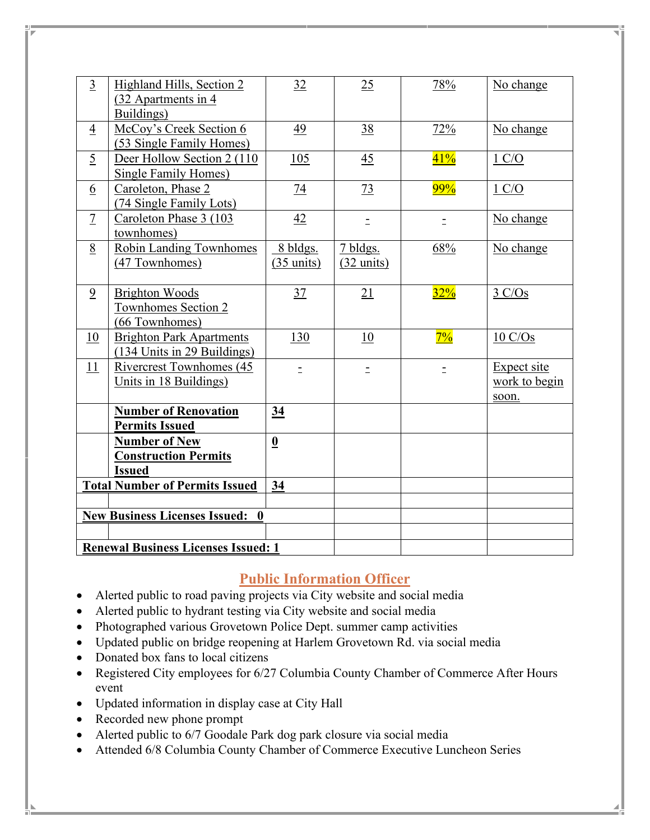| $\overline{3}$                             | Highland Hills, Section 2<br>(32 Apartments in 4)<br>Buildings)      | 32                               | 25                               | 78%      | No change                             |  |  |
|--------------------------------------------|----------------------------------------------------------------------|----------------------------------|----------------------------------|----------|---------------------------------------|--|--|
| $\overline{4}$                             | McCoy's Creek Section 6<br>(53 Single Family Homes)                  | 49                               | 38                               | 72%      | No change                             |  |  |
| $\overline{5}$                             | Deer Hollow Section 2 (110)<br>Single Family Homes)                  | 105                              | 45                               | 41%      | $1 \text{ C/O}$                       |  |  |
| <u>6</u>                                   | Caroleton, Phase 2<br>(74 Single Family Lots)                        | $\overline{14}$                  | 73                               | 99%      | 1 C/O                                 |  |  |
| $\overline{1}$                             | Caroleton Phase 3 (103<br>townhomes)                                 | 42                               | $\equiv$                         | $\equiv$ | No change                             |  |  |
| 8                                          | <b>Robin Landing Townhomes</b><br>(47 Townhomes)                     | 8 bldgs.<br>$(35 \text{ units})$ | 7 bldgs.<br>$(32 \text{ units})$ | 68%      | No change                             |  |  |
| $\overline{9}$                             | <b>Brighton Woods</b><br>Townhomes Section 2<br>(66 Townhomes)       | 37                               | 21                               | 32%      | $3 \text{ C/Os}$                      |  |  |
| 10                                         | <b>Brighton Park Apartments</b><br>$(134$ Units in 29 Buildings)     | 130                              | 10                               | $7\%$    | 10 C/Os                               |  |  |
| 11                                         | <b>Rivercrest Townhomes (45)</b><br>Units in 18 Buildings)           | Ξ                                | $\equiv$                         | Ξ        | Expect site<br>work to begin<br>soon. |  |  |
|                                            | <b>Number of Renovation</b><br><b>Permits Issued</b>                 | 34                               |                                  |          |                                       |  |  |
|                                            | <b>Number of New</b><br><b>Construction Permits</b><br><b>Issued</b> | $\underline{\mathbf{0}}$         |                                  |          |                                       |  |  |
|                                            | <b>Total Number of Permits Issued</b>                                | 34                               |                                  |          |                                       |  |  |
| <b>New Business Licenses Issued: 0</b>     |                                                                      |                                  |                                  |          |                                       |  |  |
|                                            |                                                                      |                                  |                                  |          |                                       |  |  |
| <b>Renewal Business Licenses Issued: 1</b> |                                                                      |                                  |                                  |          |                                       |  |  |

# **Public Information Officer**

- Alerted public to road paving projects via City website and social media
- Alerted public to hydrant testing via City website and social media
- Photographed various Grovetown Police Dept. summer camp activities
- Updated public on bridge reopening at Harlem Grovetown Rd. via social media
- Donated box fans to local citizens
- Registered City employees for 6/27 Columbia County Chamber of Commerce After Hours event
- Updated information in display case at City Hall
- Recorded new phone prompt
- Alerted public to 6/7 Goodale Park dog park closure via social media
- Attended 6/8 Columbia County Chamber of Commerce Executive Luncheon Series